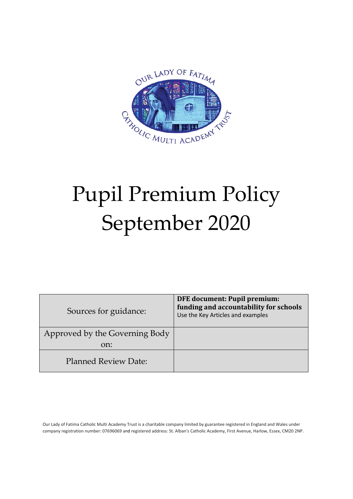

# Pupil Premium Policy September 2020

| Sources for guidance:                 | <b>DFE</b> document: Pupil premium:<br>funding and accountability for schools<br>Use the Key Articles and examples |
|---------------------------------------|--------------------------------------------------------------------------------------------------------------------|
| Approved by the Governing Body<br>on: |                                                                                                                    |
| <b>Planned Review Date:</b>           |                                                                                                                    |

Our Lady of Fatima Catholic Multi Academy Trust is a charitable company limited by guarantee registered in England and Wales under company registration number: 07696069 and registered address: St. Alban's Catholic Academy, First Avenue, Harlow, Essex, CM20 2NP.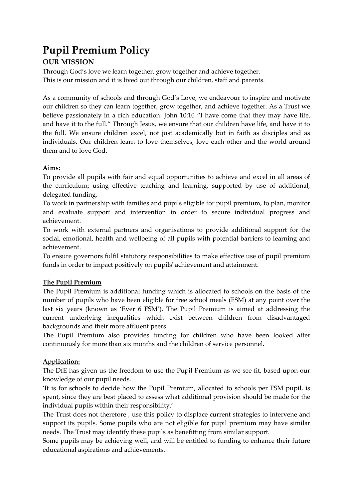## **Pupil Premium Policy**

### **OUR MISSION**

Through God's love we learn together, grow together and achieve together. This is our mission and it is lived out through our children, staff and parents.

As a community of schools and through God's Love, we endeavour to inspire and motivate our children so they can learn together, grow together, and achieve together. As a Trust we believe passionately in a rich education. John 10:10 "I have come that they may have life, and have it to the full." Through Jesus, we ensure that our children have life, and have it to the full. We ensure children excel, not just academically but in faith as disciples and as individuals. Our children learn to love themselves, love each other and the world around them and to love God.

#### **Aims:**

To provide all pupils with fair and equal opportunities to achieve and excel in all areas of the curriculum; using effective teaching and learning, supported by use of additional, delegated funding.

To work in partnership with families and pupils eligible for pupil premium, to plan, monitor and evaluate support and intervention in order to secure individual progress and achievement.

To work with external partners and organisations to provide additional support for the social, emotional, health and wellbeing of all pupils with potential barriers to learning and achievement.

To ensure governors fulfil statutory responsibilities to make effective use of pupil premium funds in order to impact positively on pupils' achievement and attainment.

#### **The Pupil Premium**

The Pupil Premium is additional funding which is allocated to schools on the basis of the number of pupils who have been eligible for free school meals (FSM) at any point over the last six years (known as 'Ever 6 FSM'). The Pupil Premium is aimed at addressing the current underlying inequalities which exist between children from disadvantaged backgrounds and their more affluent peers.

The Pupil Premium also provides funding for children who have been looked after continuously for more than six months and the children of service personnel.

#### **Application:**

The DfE has given us the freedom to use the Pupil Premium as we see fit, based upon our knowledge of our pupil needs.

'It is for schools to decide how the Pupil Premium, allocated to schools per FSM pupil, is spent, since they are best placed to assess what additional provision should be made for the individual pupils within their responsibility.'

The Trust does not therefore , use this policy to displace current strategies to intervene and support its pupils. Some pupils who are not eligible for pupil premium may have similar needs. The Trust may identify these pupils as benefitting from similar support.

Some pupils may be achieving well, and will be entitled to funding to enhance their future educational aspirations and achievements.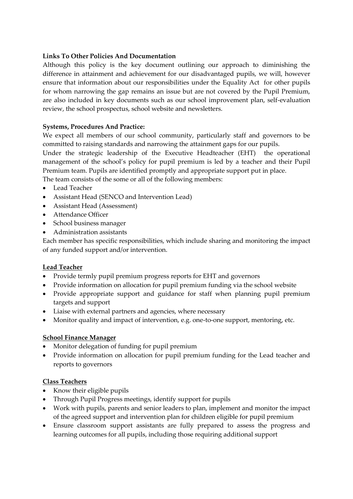#### **Links To Other Policies And Documentation**

Although this policy is the key document outlining our approach to diminishing the difference in attainment and achievement for our disadvantaged pupils, we will, however ensure that information about our responsibilities under the Equality Act for other pupils for whom narrowing the gap remains an issue but are not covered by the Pupil Premium, are also included in key documents such as our school improvement plan, self-evaluation review, the school prospectus, school website and newsletters.

#### **Systems, Procedures And Practice:**

We expect all members of our school community, particularly staff and governors to be committed to raising standards and narrowing the attainment gaps for our pupils.

Under the strategic leadership of the Executive Headteacher (EHT) the operational management of the school's policy for pupil premium is led by a teacher and their Pupil Premium team. Pupils are identified promptly and appropriate support put in place.

The team consists of the some or all of the following members:

- Lead Teacher
- Assistant Head (SENCO and Intervention Lead)
- Assistant Head (Assessment)
- Attendance Officer
- School business manager
- Administration assistants

Each member has specific responsibilities, which include sharing and monitoring the impact of any funded support and/or intervention.

#### **Lead Teacher**

- Provide termly pupil premium progress reports for EHT and governors
- Provide information on allocation for pupil premium funding via the school website
- Provide appropriate support and guidance for staff when planning pupil premium targets and support
- Liaise with external partners and agencies, where necessary
- Monitor quality and impact of intervention, e.g. one-to-one support, mentoring, etc.

#### **School Finance Manager**

- Monitor delegation of funding for pupil premium
- Provide information on allocation for pupil premium funding for the Lead teacher and reports to governors

#### **Class Teachers**

- Know their eligible pupils
- Through Pupil Progress meetings, identify support for pupils
- Work with pupils, parents and senior leaders to plan, implement and monitor the impact of the agreed support and intervention plan for children eligible for pupil premium
- Ensure classroom support assistants are fully prepared to assess the progress and learning outcomes for all pupils, including those requiring additional support